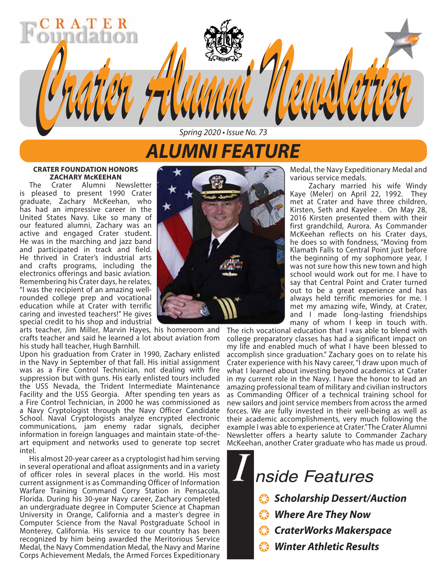# *ALUMNI FEATURE Spring 2020 • Issue No. 73*

*Crater Alumni Newsletter Crater Alumni Newsletter*

#### **CRATER FOUNDATION HONORS ZACHARY McKEEHAN**

R A T

The Crater Alumni Newsletter is pleased to present 1990 Crater graduate, Zachary McKeehan, who has had an impressive career in the United States Navy. Like so many of our featured alumni, Zachary was an active and engaged Crater student. He was in the marching and jazz band and participated in track and field. He thrived in Crater's industrial arts and crafts programs, including the electronics offerings and basic aviation. Remembering his Crater days, he relates, "I was the recipient of an amazing wellrounded college prep and vocational education while at Crater with terrific caring and invested teachers!" He gives special credit to his shop and industrial

arts teacher, Jim Miller, Marvin Hayes, his homeroom and crafts teacher and said he learned a lot about aviation from his study hall teacher, Hugh Barnhill.

Upon his graduation from Crater in 1990, Zachary enlisted in the Navy in September of that fall. His initial assignment was as a Fire Control Technician, not dealing with fire suppression but with guns. His early enlisted tours included the USS Nevada, the Trident Intermediate Maintenance Facility and the USS Georgia. After spending ten years as a Fire Control Technician, in 2000 he was commissioned as a Navy Cryptologist through the Navy Officer Candidate School. Naval Cryptologists analyze encrypted electronic communications, jam enemy radar signals, decipher information in foreign languages and maintain state-of-theart equipment and networks used to generate top secret intel.

His almost 20-year career as a cryptologist had him serving in several operational and afloat assignments and in a variety of officer roles in several places in the world. His most current assignment is as Commanding Officer of Information Warfare Training Command Corry Station in Pensacola, Florida. During his 30-year Navy career, Zachary completed an undergraduate degree in Computer Science at Chapman University in Orange, California and a master's degree in Computer Science from the Naval Postgraduate School in Monterey, California. His service to our country has been recognized by him being awarded the Meritorious Service Medal, the Navy Commendation Medal, the Navy and Marine Corps Achievement Medals, the Armed Forces Expeditionary



Medal, the Navy Expeditionary Medal and various service medals.

Zachary married his wife Windy Kaye (Meler) on April 22, 1992. They met at Crater and have three children, Kirsten, Seth and Kayelee . On May 28, 2016 Kirsten presented them with their first grandchild, Aurora. As Commander McKeehan reflects on his Crater days, he does so with fondness, "Moving from Klamath Falls to Central Point just before the beginning of my sophomore year, I was not sure how this new town and high school would work out for me. I have to say that Central Point and Crater turned out to be a great experience and has always held terrific memories for me. I met my amazing wife, Windy, at Crater, and I made long-lasting friendships many of whom I keep in touch with.

The rich vocational education that I was able to blend with college preparatory classes has had a significant impact on my life and enabled much of what I have been blessed to accomplish since graduation." Zachary goes on to relate his Crater experience with his Navy career, "I draw upon much of what I learned about investing beyond academics at Crater in my current role in the Navy. I have the honor to lead an amazing professional team of military and civilian instructors as Commanding Officer of a technical training school for new sailors and joint service members from across the armed forces. We are fully invested in their well-being as well as their academic accomplishments, very much following the example I was able to experience at Crater." The Crater Alumni Newsletter offers a hearty salute to Commander Zachary McKeehan, another Crater graduate who has made us proud.

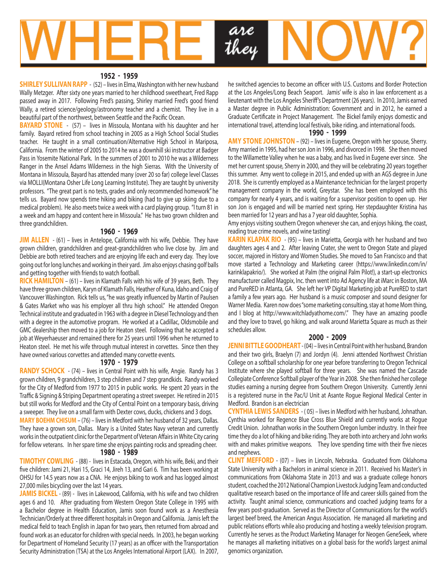

#### **1952 - 1959**

**SHIRLEY SULLIVAN RAPP** - (52) – lives in Elma, Washington with her new husband Wally Metzger. After sixty one years married to her childhood sweetheart, Fred Rapp passed away in 2017. Following Fred's passing, Shirley married Fred's good friend Wally, a retired science/geology/astronomy teacher and a chemist. They live in a beautiful part of the northwest, between Seattle and the Pacific Ocean.

**BAYARD STONE** - (57) – lives in Missoula, Montana with his daughter and her family. Bayard retired from school teaching in 2005 as a High School Social Studies teacher. He taught in a small continuation/Alternative High School in Mariposa, California. From the winter of 2005 to 2014 he was a downhill ski instructor at Badger Pass in Yosemite National Park. In the summers of 2001 to 2010 he was a Wilderness Ranger in the Ansel Adams Wilderness in the high Sierras. With the University of Montana in Missoula, Bayard has attended many (over 20 so far) college level Classes via MOLLI(Montana Osher Life Long Learning Institute). They are taught by university professors. "The great part is no tests, grades and only recommended homework" he tells us. Bayard now spends time hiking and biking (had to give up skiing due to a medical problem). He also meets twice a week with a card playing group. "I turn 81 in a week and am happy and content here in Missoula." He has two grown children and three grandchildren.

#### **1960 - 1969**

**JIM ALLEN** - (61) – lives in Antelope, California with his wife, Debbie. They have grown children, grandchildren and great-grandchildren who live close by. Jim and Debbie are both retired teachers and are enjoying life each and every day. They love going out for long lunches and working in their yard. Jim also enjoys chasing golf balls and getting together with friends to watch football.

**RICK HAMILTON** – (61) – lives in Klamath Falls with his wife of 39 years, Beth. They have three grown children, Karyn of Klamath Falls, Heather of Kuna, Idaho and Craig of Vancouver Washington. Rick tells us, "he was greatly influenced by Martin of Paulsen & Gates Market who was his employer all thru high school." He attended Oregon Technical institute and graduated in 1963 with a degree in Diesel Technology and then with a degree in the automotive program. He worked at a Cadillac, Oldsmobile and GMC dealership then moved to a job for Heaton steel. Following that he accepted a job at Weyerhaeuser and remained there for 25 years until 1996 when he returned to Heaton steel. He met his wife through mutual interest in corvettes. Since then they have owned various corvettes and attended many corvette events.

#### **1970 - 1979**

**RANDY SCHOCK** - (74) – lives in Central Point with his wife, Angie. Randy has 3 grown children, 9 grandchildren, 3 step children and 7 step grandkids. Randy worked for the City of Medford from 1977 to 2015 in public works. He spent 20 years in the Traffic & Signing & Striping Department operating a street sweeper. He retired in 2015 but still works for Medford and the City of Central Point on a temporary basis, driving a sweeper. They live on a small farm with Dexter cows, ducks, chickens and 3 dogs.

**MARY BOEHM CHISUM** – (76) – lives in Medford with her husband of 32 years, Dallas. They have a grown son, Dallas. Mary is a United States Navy veteran and currently works in the outpatient clinic for the Department of Veteran Affairs in White City caring for fellow veterans. In her spare time she enjoys painting rocks and spreading cheer.

#### **1980 - 1989**

**TIMOTHY COWLING** - (88) - lives in Estacada, Oregon, with his wife, Beki, and their five children: Jami 21, Hari 15, Graci 14, Jireh 13, and Gari 6. Tim has been working at OHSU for 14.5 years now as a CNA. He enjoys biking to work and has logged almost 27,000 miles bicycling over the last 14 years.

JAMIS BICKEL - (89) - lives in Lakewood, California, with his wife and two children ages 6 and 10. After graduating from Western Oregon State College in 1995 with a Bachelor degree in Health Education, Jamis soon found work as a Anesthesia Technician/Orderly at three different hospitals in Oregon and California. Jamis left the medical field to teach English in Japan for two years, then returned from abroad and found work as an educator for children with special needs. In 2003, he began working for Department of Homeland Security (17 years) as an officer with the Transportation Security Administration (TSA) at the Los Angeles International Airport (LAX). In 2007, he switched agencies to become an officer with U.S. Customs and Border Protection at the Los Angeles/Long Beach Seaport. Jamis' wife is also in law enforcement as a lieutenant with the Los Angeles Sheriff's Department (26 years). In 2010, Jamis earned a Master degree in Public Administration: Government and in 2012, he earned a Graduate Certificate in Project Management. The Bickel family enjoys domestic and international travel, attending local festivals, bike riding, and international foods.

#### **1990 - 1999**

**AMY STONE JOHNSTON** – (92) – lives in Eugene, Oregon with her spouse, Sherry. Amy married in 1995, had her son Jon in 1996, and divorced in 1998. She then moved to the Willamette Valley when he was a baby, and has lived in Eugene ever since. She met her current spouse, Sherry in 2000, and they will be celebrating 20 years together this summer. Amy went to college in 2015, and ended up with an AGS degree in June 2018. She is currently employed as a Maintenance technician for the largest property management company in the world, Greystar. She has been employed with this company for nearly 4 years, and is waiting for a supervisor position to open up. Her son Jon is engaged and will be married next spring. Her stepdaughter Kristina has been married for 12 years and has a 7 year old daughter, Sophia.

Amy enjoys visiting southern Oregon whenever she can, and enjoys hiking, the coast, reading true crime novels, and wine tasting!

**KARIN KLAPAK RIO** - (95) – lives in Marietta, Georgia with her husband and two daughters ages 4 and 2. After leaving Crater, she went to Oregon State and played soccer, majored in History and Women Studies. She moved to San Francisco and that move started a Technology and Marketing career (https://www.linkedin.com/in/ karinklapakrio/). She worked at Palm (the original Palm Pilot!), a start-up electronics manufacturer called Magpix, Inc. then went into Ad Agency life at iMarc in Boston, MA and PureRED in Atlanta, GA. She left her VP Digital Marketing job at PureRED to start a family a few years ago. Her husband is a music composer and sound designer for Warner Media. Karen now does "some marketing consulting, stay at home Mom thing, and I blog at http://www.witchladyathome.com/." They have an amazing poodle and they love to travel, go hiking, and walk around Marietta Square as much as their schedules allow.

#### **2000 - 2009**

**JENNI BITTLE GOODHEART** - (04) – lives in Central Point with her husband, Brandon and their two girls, Braelyn (7) and Jordyn (4). Jenni attended Northwest Christian College on a softball scholarship for one year before transferring to Oregon Technical Institute where she played softball for three years. She was named the Cascade Collegiate Conference Softball player of the Year in 2008. She then finished her college studies earning a nursing degree from Southern Oregon University. Currently Jenni is a registered nurse in the Pac/U Unit at Asante Rogue Regional Medical Center in Medford. Brandon is an electrician

**CYNTHIA LEWIS SANDERS** - ( 05) – lives in Medford with her husband, Johnathan. Cynthia worked for Regence Blue Cross Blue Shield and currently works at Rogue Credit Union. Johnathan works in the Southern Oregon lumber industry. In their free time they do a lot of hiking and bike riding. They are both into archery and John works with and makes primitive weapons. They love spending time with their five nieces and nephews.

**CLINT MEFFORD** - (07) – lives in Lincoln, Nebraska. Graduated from Oklahoma State University with a Bachelors in animal science in 2011. Received his Master's in communications from Oklahoma State in 2013 and was a graduate college honors student, coached the 2012 National Champion Livestock Judging Team and conducted qualitative research based on the importance of life and career skills gained from the activity. Taught animal science, communications and coached judging teams for a few years post-graduation. Served as the Director of Communications for the world's largest beef breed, the American Angus Association. He managed all marketing and public relations efforts while also producing and hosting a weekly television program. Currently he serves as the Product Marketing Manager for Neogen GeneSeek, where he manages all marketing initiatives on a global basis for the world's largest animal genomics organization.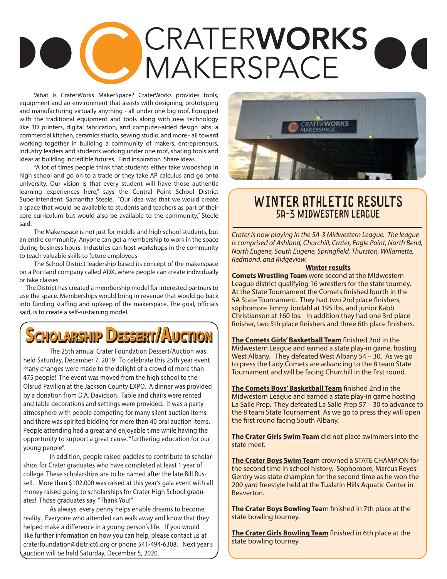# CRATERWORKS A MAKERSPACE

What is CraterWorks MakerSpace? CraterWorks provides tools, equipment and an environment that assists with designing, prototyping and manufacturing virtually anything - all under one big roof. Equipped with the traditional equipment and tools along with new technology like 3D printers, digital fabrication, and computer-aided design labs; a commercial kitchen, ceramics studio, sewing studio, and more - all toward working together in building a community of makers, entrepreneurs, industry leaders and students working under one roof, sharing tools and ideas at building incredible futures. Find inspiration. Share ideas.

"A lot of times people think that students either take woodshop in high school and go on to a trade or they take AP calculus and go onto university. Our vision is that every student will have those authentic learning experiences here," says the Central Point School District Superintendent, Samantha Steele. "Our idea was that we would create a space that would be available to students and teachers as part of their core curriculum but would also be available to the community," Steele said.

The Makerspace is not just for middle and high school students, but an entire community. Anyone can get a membership to work in the space during business hours. Industries can host workshops in the community to teach valuable skills to future employees

 The School District leadership based its concept of the makerspace on a Portland company called ADX, where people can create individually or take classes.

 The District has created a membership model for interested partners to use the space. Memberships would bring in revenue that would go back into funding staffing and upkeep of the makerspace. The goal, officials said, is to create a self-sustaining model.

# **Scholarsship Dessssert/AAuction**

The 25th annual Crater Foundation Dessert/Auction was held Saturday, December 7, 2019. To celebrate this 25th year event many changes were made to the delight of a crowd of more than 475 people! The event was moved from the high school to the Olsrud Pavilion at the Jackson County EXPO. A dinner was provided by a donation from D.A. Davidson. Table and chairs were rented and table decorations and settings were provided. It was a party atmosphere with people competing for many silent auction items and there was spirited bidding for more than 40 oral auction items. People attending had a great and enjoyable time while having the opportunity to support a great cause, "furthering education for our young people".

In addition, people raised paddles to contribute to scholarships for Crater graduates who have completed at least 1 year of college. These scholarships are to be named after the late Bill Russell. More than \$102,000 was raised at this year's gala event with all money raised going to scholarships for Crater High School graduates! Those graduates say, "Thank You!"

As always, every penny helps enable dreams to become reality. Everyone who attended can walk away and know that they helped make a difference in a young person's life. If you would like further information on how you can help, please contact us at craterfoundation@district6.org or phone 541-494-6308. Next year's auction will be held Saturday, December 5, 2020.



# Winter ATHLETIC RESULTS 5A-3 Midwestern League

*Crater is now playing in the 5A-3 Midwestern League. The league is comprised of Ashland, Churchill, Crater, Eagle Point, North Bend, North Eugene, South Eugene, Springfield, Thurston, Willamette, Redmond, and Ridgeview.*

#### **Winter results**

**Comets Wrestling Team** were second at the Midwestern League district qualifying 16 wrestlers for the state tourney. At the State Tournament the Comets finished fourth in the 5A State Tournament. They had two 2nd place finishers, sophomore Jimmy Jordahl at 195 lbs. and junior Kabb Christianson at 160 lbs. In addition they had one 3rd place finisher, two 5th place finishers and three 6th place finishers.

**The Comets Girls' Basketball Team** finished 2nd in the Midwestern League and earned a state play-in game, hosting West Albany. They defeated West Albany 54 – 30. As we go to press the Lady Comets are advancing to the 8 team State Tournament and will be facing Churchill in the first round.

**The Comets Boys' Basketball Team** finished 2nd in the Midwestern League and earned a state play-in game hosting La Salle Prep. They defeated La Salle Prep 57 – 30 to advance to the 8 team State Tournament As we go to press they will open the first round facing South Albany.

**The Crater Girls Swim Team** did not place swimmers into the state meet.

**The Crater Boys Swim Tea**m crowned a STATE CHAMPION for the second time in school history. Sophomore, Marcus Reyes-Gentry was state champion for the second time as he won the 200 yard freestyle held at the Tualatin Hills Aquatic Center in **Beaverton** 

**The Crater Boys Bowling Tea**m finished in 7th place at the state bowling tourney.

**The Crater Girls Bowling Team** finished in 6th place at the state bowling tourney.